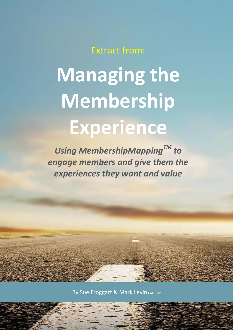Extract from:

# **Managing the Membership Experience**

*Using MembershipMappingTM to engage members and give them the experiences they want and value*

By Sue Froggatt & Mark Levin CAE, CSP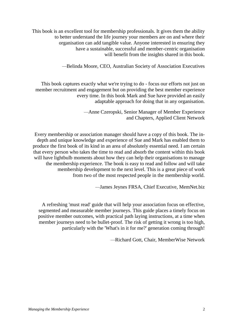This book is an excellent tool for membership professionals. It gives them the ability to better understand the life journey your members are on and where their organisation can add tangible value. Anyone interested in ensuring they have a sustainable, successful and member-centric organisation will benefit from the insights shared in this book.

*—*Belinda Moore, CEO, Australian Society of Association Executives

This book captures exactly what we're trying to do - focus our efforts not just on member recruitment and engagement but on providing the best member experience every time. In this book Mark and Sue have provided an easily adaptable approach for doing that in any organisation.

> *—*Anne Czeropski, Senior Manager of Member Experience and Chapters, Applied Client Network

Every membership or association manager should have a copy of this book. The indepth and unique knowledge and experience of Sue and Mark has enabled them to produce the first book of its kind in an area of absolutely essential need. I am certain that every person who takes the time to read and absorb the content within this book will have lightbulb moments about how they can help their organisations to manage the membership experience. The book is easy to read and follow and will take membership development to the next level. This is a great piece of work from two of the most respected people in the membership world.

*—*James Jeynes FRSA, Chief Executive, MemNet.biz

A refreshing 'must read' guide that will help your association focus on effective, segmented and measurable member journeys. This guide places a timely focus on positive member outcomes, with practical path laying instructions, at a time when member journeys need to be bullet-proof. The risk of getting it wrong is too high, particularly with the 'What's in it for me?' generation coming through!

*—*Richard Gott, Chair, MemberWise Network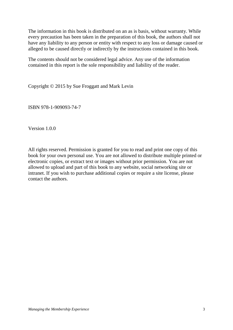The information in this book is distributed on an as is basis, without warranty. While every precaution has been taken in the preparation of this book, the authors shall not have any liability to any person or entity with respect to any loss or damage caused or alleged to be caused directly or indirectly by the instructions contained in this book.

The contents should not be considered legal advice. Any use of the information contained in this report is the sole responsibility and liability of the reader.

Copyright © 2015 by Sue Froggatt and Mark Levin

ISBN 978-1-909093-74-7

Version 1.0.0

All rights reserved. Permission is granted for you to read and print one copy of this book for your own personal use. You are not allowed to distribute multiple printed or electronic copies, or extract text or images without prior permission. You are not allowed to upload and part of this book to any website, social networking site or intranet. If you wish to purchase additional copies or require a site license, please contact the authors.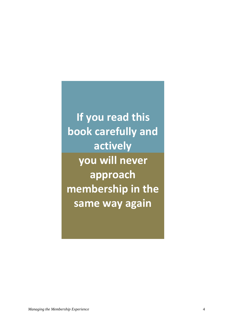**If you read this book carefully and actively you will never approach membership in the same way again**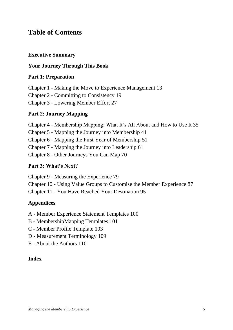# **Table of Contents**

## **Executive Summary**

# **Your Journey Through This Book**

# **Part 1: Preparation**

Chapter 1 - Making the Move to Experience Management 13

Chapter 2 - Committing to Consistency 19

Chapter 3 - Lowering Member Effort 27

# **Part 2: Journey Mapping**

Chapter 4 - Membership Mapping: What It's All About and How to Use It 35

Chapter 5 - Mapping the Journey into Membership 41

Chapter 6 - Mapping the First Year of Membership 51

Chapter 7 - Mapping the Journey into Leadership 61

Chapter 8 - Other Journeys You Can Map 70

## **Part 3: What's Next?**

Chapter 9 - Measuring the Experience 79

Chapter 10 - Using Value Groups to Customise the Member Experience 87

Chapter 11 - You Have Reached Your Destination 95

# **Appendices**

A - Member Experience Statement Templates 100

- B MembershipMapping Templates 101
- C Member Profile Template 103
- D Measurement Terminology 109
- E About the Authors 110

# **Index**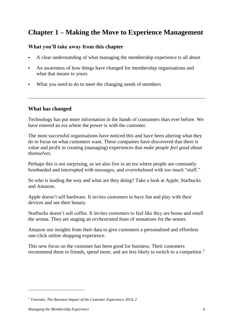# **Chapter 1 – Making the Move to Experience Management**

# **What you'll take away from this chapter**

- A clear understanding of what managing the membership experience is all about
- An awareness of how things have changed for membership organisations and what that means to yours
- What you need to do to meet the changing needs of members

#### **What has changed**

Technology has put more information in the hands of consumers than ever before. We have entered an era where the power is with the customer.

The most successful organisations have noticed this and have been altering what they do to focus on what customers want. These companies have discovered that there is value and profit in creating (managing) experiences that *make people feel good about themselves*.

Perhaps this is not surprising, as we also live in an era where people are constantly bombarded and interrupted with messages, and overwhelmed with too much "stuff."

So who is leading the way and what are they doing? Take a look at Apple, Starbucks and Amazon.

Apple doesn't sell hardware. It invites customers to have fun and play with their devices and see their beauty.

Starbucks doesn't sell coffee. It invites customers to feel like they are home and smell the aroma. They are staging an *orchestrated* feast of sensations for the senses.

Amazon use insights from their data to give customers a personalised and effortless one-click online shopping experience.

This new focus on the customer has been good for business. Their customers recommend them to friends, spend more, and are less likely to switch to a competitor.<sup>2</sup>

 $\overline{a}$ 

<sup>2</sup> Forrester, *The Business Impact of the Customer Experience 2014, 2*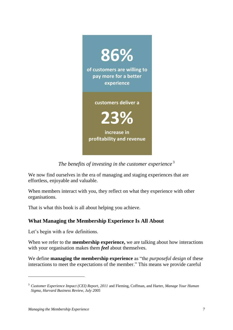

*The benefits of investing in the customer experience* <sup>3</sup>

We now find ourselves in the era of managing and staging experiences that are effortless, enjoyable and valuable.

When members interact with you, they reflect on what they experience with other organisations.

That is what this book is all about helping you achieve.

# **What Managing the Membership Experience Is All About**

Let's begin with a few definitions.

When we refer to the **membership experience,** we are talking about how interactions with your organisation makes them *feel* about themselves.

We define **managing the membership experience** as "the *purposeful design* of these interactions to meet the expectations of the member." This means we provide careful

<sup>3</sup> *Customer Experience Impact (CEI) Report, 2011* and Fleming, Coffman, and Harter, *Manage Your Human Sigma, Harvard Business Review, July 2005*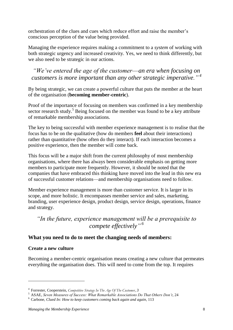orchestration of the clues and cues which reduce effort and raise the member's conscious perception of the value being provided.

Managing the experience requires making a commitment to a *system* of working with both strategic urgency and increased creativity. Yes, we need to think differently, but we also need to be strategic in our actions.

# *"We've entered the age of the customer*—*an era when focusing on customers is more important than any other strategic imperative." <sup>4</sup>*

By being strategic, we can create a powerful culture that puts the member at the heart of the organisation (**becoming member-centric**).

Proof of the importance of focusing on members was confirmed in a key membership sector research study.<sup>5</sup> Being focused on the member was found to be a key attribute of remarkable membership associations.

The key to being successful with member experience management is to realise that the focus has to be on the qualitative (how do members **feel** about their interactions) rather than quantitative (how often do they interact). If each interaction becomes a positive experience, then the member will come back.

This focus will be a major shift from the current philosophy of most membership organisations, where there has always been considerable emphasis on getting more members to participate more frequently. However, it should be noted that the companies that have embraced this thinking have moved into the lead in this new era of successful customer relations—and membership organisations need to follow.

Member experience management is more than customer service. It is larger in its scope, and more holistic. It encompasses member service and sales, marketing, branding, user experience design, product design, service design, operations, finance and strategy.

# *"In the future, experience management will be a prerequisite to compete effectively" 6*

# **What you need to do to meet the changing needs of members:**

#### **Create a new culture**

 $\overline{a}$ 

Becoming a member-centric organisation means creating a new culture that permeates everything the organisation does. This will need to come from the top. It requires

<sup>4</sup> Forrester, Cooperstein, *Competitive Strategy In The Age Of The Customer, 3*

<sup>5</sup> ASAE, *Seven Measures of Success: What Remarkable Associations Do That Others Don't,* 24

<sup>6</sup> Carbone, *Clued In: How to keep customers coming back again and again,* 113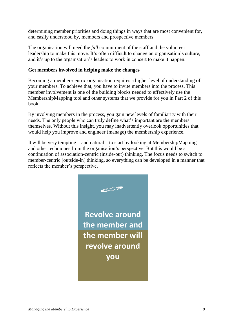determining member priorities and doing things in ways that are most convenient for, and easily understood by, members and prospective members.

The organisation will need the *full* commitment of the staff and the volunteer leadership to make this move. It's often difficult to change an organisation's culture, and it's up to the organisation's leaders to work in concert to make it happen.

#### **Get members involved in helping make the changes**

Becoming a member-centric organisation requires a higher level of understanding of your members. To achieve that, you have to invite members into the process. This member involvement is one of the building blocks needed to effectively use the MembershipMapping tool and other systems that we provide for you in Part 2 of this book.

By involving members in the process, you gain new levels of familiarity with their needs. The only people who can truly define what's important are the members themselves. Without this insight, you may inadvertently overlook opportunities that would help you improve and engineer (manage) the membership experience.

It will be very tempting—and natural—to start by looking at MembershipMapping and other techniques from the organisation's perspective. But this would be a continuation of association-centric (inside-out) thinking. The focus needs to switch to member-centric (outside-in) thinking, so everything can be developed in a manner that reflects the member's perspective.

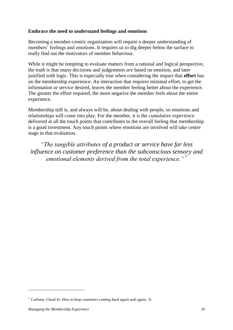#### **Embrace the need to understand feelings and emotions**

Becoming a member-centric organisation will require a deeper understanding of members' feelings and emotions. It requires us to dig deeper below the surface to really find out the motivators of member behaviour.

While it might be tempting to evaluate matters from a rational and logical perspective, the truth is that many decisions and judgements *are* based on emotion, and later justified with logic. This is especially true when considering the impact that **effort** has on the membership experience. An interaction that requires minimal effort, to get the information or service desired, leaves the member feeling better about the experience. The greater the effort required, the more negative the member feels about the entire experience.

Membership still is, and always will be, about dealing with people, so emotions and relationships will come into play. For the member, it is the *cumulative experience* delivered at all the touch points that contributes to the overall feeling that membership is a good investment. Any touch points where emotions are involved will take centre stage in that evaluation.

*"The tangible attributes of a product or service have far less influence on customer preference than the subconscious sensory and emotional elements derived from the total experience."<sup>7</sup>*

 $\overline{a}$ 

<sup>7</sup> Carbone, *Clued In*: *How to keep customers coming back again and again*, 31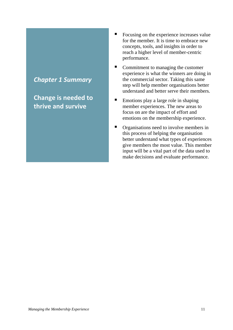# *Chapter 1 Summary*

**Change is needed to thrive and survive**

- Focusing on the experience increases value for the member. It is time to embrace new concepts, tools, and insights in order to reach a higher level of member-centric performance.
- Commitment to managing the customer experience is what the winners are doing in the commercial sector. Taking this same step will help member organisations better understand and better serve their members.
- Emotions play a large role in shaping member experiences. The new areas to focus on are the impact of effort and emotions on the membership experience.
- Organisations need to involve members in this process of helping the organisation better understand what types of experiences give members the most value. This member input will be a vital part of the data used to make decisions and evaluate performance.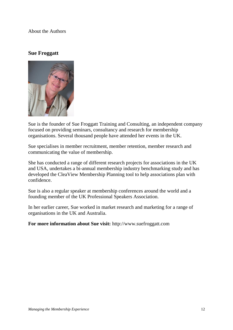About the Authors

#### **Sue Froggatt**



Sue is the founder of Sue Froggatt Training and Consulting, an independent company focused on providing seminars, consultancy and research for membership organisations. Several thousand people have attended her events in the UK.

Sue specialises in member recruitment, member retention, member research and communicating the value of membership.

She has conducted a range of different research projects for associations in the UK and USA, undertakes a bi-annual membership industry benchmarking study and has developed the CleaView Membership Planning tool to help associations plan with confidence.

Sue is also a regular speaker at membership conferences around the world and a founding member of the UK Professional Speakers Association.

In her earlier career, Sue worked in market research and marketing for a range of organisations in the UK and Australia.

**For more information about Sue visit:** [http://www.suefroggatt.com](http://www.suefroggatt.com/)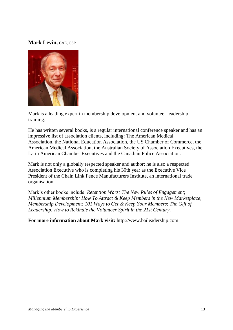#### **Mark Levin,** CAE, CSP



[Mark](http://www.associationsites.com/main-pub.cfm?usr=bai) is a leading expert in membership development and volunteer leadership training.

He has written several books, is a regular international conference speaker and has an impressive list of association clients, including: The American Medical Association, the National Education Association, the US Chamber of Commerce, the American Medical Association, the Australian Society of Association Executives, the Latin American Chamber Executives and the Canadian Police Association.

Mark is not only a globally respected speaker and author; he is also a respected Association Executive who is completing his 30th year as the Executive Vice President of the Chain Link Fence Manufacturers Institute, an international trade organisation.

Mark's other books include: *Retention Wars: The New Rules of Engagement*; *Millennium Membership: How To Attract & Keep Members in the New Marketplace*; *Membership Development: 101 Ways to Get & Keep Your Members*; *The Gift of Leadership: How to Rekindle the Volunteer Spirit in the 21st Century*.

**For more information about Mark visit:** [http://www.baileadership.com](http://www.baileadership.com/)